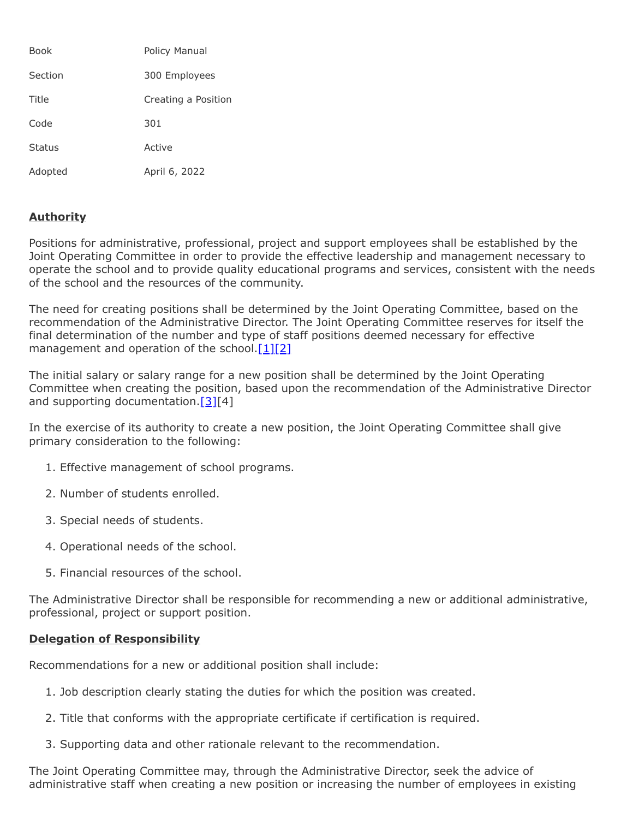| <b>Book</b>   | Policy Manual       |
|---------------|---------------------|
| Section       | 300 Employees       |
| Title         | Creating a Position |
| Code          | 301                 |
| <b>Status</b> | Active              |
| Adopted       | April 6, 2022       |

## **Authority**

Positions for administrative, professional, project and support employees shall be established by the Joint Operating Committee in order to provide the effective leadership and management necessary to operate the school and to provide quality educational programs and services, consistent with the needs of the school and the resources of the community.

The need for creating positions shall be determined by the Joint Operating Committee, based on the recommendation of the Administrative Director. The Joint Operating Committee reserves for itself the final determination of the number and type of staff positions deemed necessary for effective management and operation of the school.  $[1][2]$  $[1][2]$ 

The initial salary or salary range for a new position shall be determined by the Joint Operating Committee when creating the position, based upon the recommendation of the Administrative Director and supporting documentation. $[3][4]$  $[3][4]$ 

In the exercise of its authority to create a new position, the Joint Operating Committee shall give primary consideration to the following:

- 1. Effective management of school programs.
- 2. Number of students enrolled.
- 3. Special needs of students.
- 4. Operational needs of the school.
- 5. Financial resources of the school.

The Administrative Director shall be responsible for recommending a new or additional administrative, professional, project or support position.

## **Delegation of Responsibility**

Recommendations for a new or additional position shall include:

- 1. Job description clearly stating the duties for which the position was created.
- 2. Title that conforms with the appropriate certificate if certification is required.
- 3. Supporting data and other rationale relevant to the recommendation.

The Joint Operating Committee may, through the Administrative Director, seek the advice of administrative staff when creating a new position or increasing the number of employees in existing